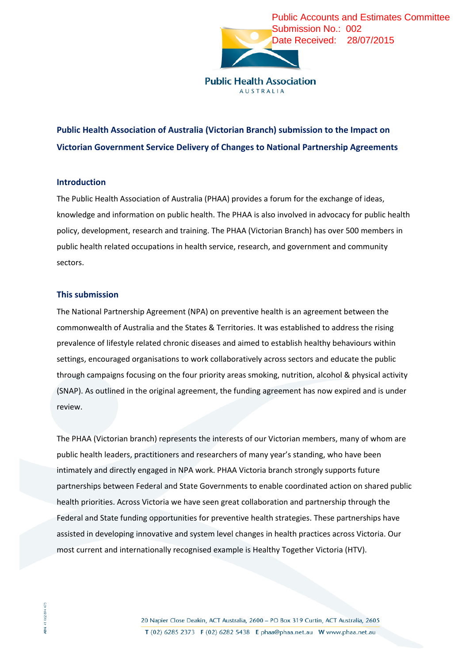

**AUSTRALIA** 

## **Public Health Association of Australia (Victorian Branch) submission to the Impact on Victorian Government Service Delivery of Changes to National Partnership Agreements**

## **Introduction**

The Public Health Association of Australia (PHAA) provides a forum for the exchange of ideas, knowledge and information on public health. The PHAA is also involved in advocacy for public health policy, development, research and training. The PHAA (Victorian Branch) has over 500 members in public health related occupations in health service, research, and government and community sectors.

## **This submission**

The National Partnership Agreement (NPA) on preventive health is an agreement between the commonwealth of Australia and the States & Territories. It was established to address the rising prevalence of lifestyle related chronic diseases and aimed to establish healthy behaviours within settings, encouraged organisations to work collaboratively across sectors and educate the public through campaigns focusing on the four priority areas smoking, nutrition, alcohol & physical activity (SNAP). As outlined in the original agreement, the funding agreement has now expired and is under review.

The PHAA (Victorian branch) represents the interests of our Victorian members, many of whom are public health leaders, practitioners and researchers of many year's standing, who have been intimately and directly engaged in NPA work. PHAA Victoria branch strongly supports future partnerships between Federal and State Governments to enable coordinated action on shared public health priorities. Across Victoria we have seen great collaboration and partnership through the Federal and State funding opportunities for preventive health strategies. These partnerships have assisted in developing innovative and system level changes in health practices across Victoria. Our most current and internationally recognised example is Healthy Together Victoria (HTV).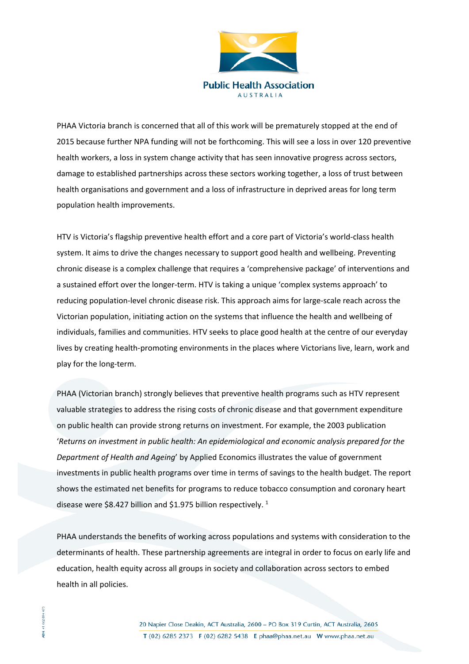

PHAA Victoria branch is concerned that all of this work will be prematurely stopped at the end of 2015 because further NPA funding will not be forthcoming. This will see a loss in over 120 preventive health workers, a loss in system change activity that has seen innovative progress across sectors, damage to established partnerships across these sectors working together, a loss of trust between health organisations and government and a loss of infrastructure in deprived areas for long term population health improvements.

HTV is Victoria's flagship preventive health effort and a core part of Victoria's world-class health system. It aims to drive the changes necessary to support good health and wellbeing. Preventing chronic disease is a complex challenge that requires a 'comprehensive package' of interventions and a sustained effort over the longer-term. HTV is taking a unique 'complex systems approach' to reducing population-level chronic disease risk. This approach aims for large-scale reach across the Victorian population, initiating action on the systems that influence the health and wellbeing of individuals, families and communities. HTV seeks to place good health at the centre of our everyday lives by creating health-promoting environments in the places where Victorians live, learn, work and play for the long-term.

PHAA (Victorian branch) strongly believes that preventive health programs such as HTV represent valuable strategies to address the rising costs of chronic disease and that government expenditure on public health can provide strong returns on investment. For example, the 2003 publication '*Returns on investment in public health: An epidemiological and economic analysis prepared for the Department of Health and Ageing*' by Applied Economics illustrates the value of government investments in public health programs over time in terms of savings to the health budget. The report shows the estimated net benefits for programs to reduce tobacco consumption and coronary heart disease were \$8.427 billion and \$1.975 billion respectively.<sup>1</sup>

PHAA understands the benefits of working across populations and systems with consideration to the determinants of health. These partnership agreements are integral in order to focus on early life and education, health equity across all groups in society and collaboration across sectors to embed health in all policies.